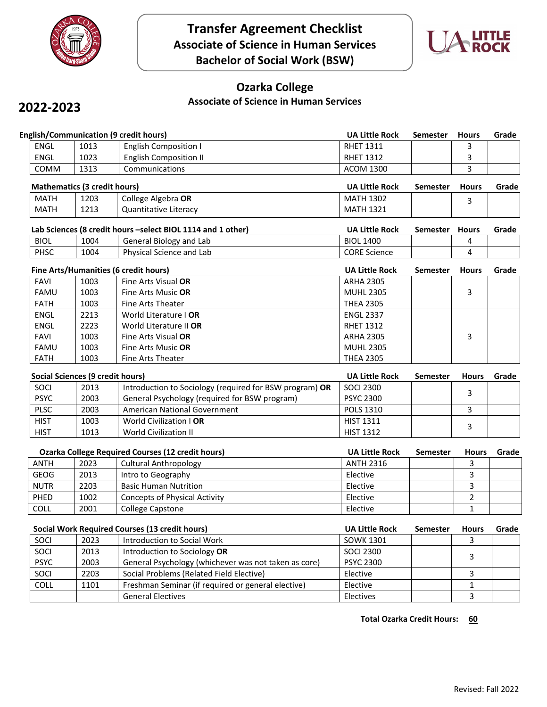



# **Ozarka College**

#### **Associate of Science in Human Services**

## **2022-2023**

|                                               |                                       | <b>Transfer Agreement Checklist</b><br><b>Associate of Science in Human Services</b><br><b>Bachelor of Social Work (BSW)</b> |  |                       | <b>LITTLE</b><br>ROCK |              |       |  |  |
|-----------------------------------------------|---------------------------------------|------------------------------------------------------------------------------------------------------------------------------|--|-----------------------|-----------------------|--------------|-------|--|--|
| 2022-2023                                     |                                       | <b>Ozarka College</b><br><b>Associate of Science in Human Services</b>                                                       |  |                       |                       |              |       |  |  |
| <b>English/Communication (9 credit hours)</b> |                                       |                                                                                                                              |  | <b>UA Little Rock</b> | <b>Semester</b>       | <b>Hours</b> | Grade |  |  |
| <b>ENGL</b>                                   | 1013                                  | <b>English Composition I</b>                                                                                                 |  | <b>RHET 1311</b>      |                       | 3            |       |  |  |
| <b>ENGL</b>                                   | 1023                                  | <b>English Composition II</b>                                                                                                |  | <b>RHET 1312</b>      |                       | 3            |       |  |  |
| COMM                                          | 1313                                  | Communications                                                                                                               |  | <b>ACOM 1300</b>      |                       | 3            |       |  |  |
|                                               | <b>Mathematics (3 credit hours)</b>   |                                                                                                                              |  | <b>UA Little Rock</b> | <b>Semester</b>       | <b>Hours</b> | Grade |  |  |
| MATH                                          | 1203                                  | College Algebra OR                                                                                                           |  | <b>MATH 1302</b>      |                       | 3            |       |  |  |
| <b>MATH</b>                                   | 1213                                  | <b>Quantitative Literacy</b>                                                                                                 |  | <b>MATH 1321</b>      |                       |              |       |  |  |
|                                               |                                       | Lab Sciences (8 credit hours -select BIOL 1114 and 1 other)                                                                  |  | <b>UA Little Rock</b> | Semester              | <b>Hours</b> | Grade |  |  |
| <b>BIOL</b>                                   | 1004                                  | General Biology and Lab                                                                                                      |  | <b>BIOL 1400</b>      |                       | 4            |       |  |  |
| <b>PHSC</b>                                   | 1004                                  | Physical Science and Lab                                                                                                     |  | <b>CORE Science</b>   |                       | 4            |       |  |  |
|                                               | Fine Arts/Humanities (6 credit hours) |                                                                                                                              |  | <b>UA Little Rock</b> | <b>Semester</b>       | <b>Hours</b> | Grade |  |  |
| <b>FAVI</b>                                   | 1003                                  | Fine Arts Visual OR                                                                                                          |  | <b>ARHA 2305</b>      |                       |              |       |  |  |
| <b>FAMU</b>                                   | 1003                                  | Fine Arts Music OR                                                                                                           |  | <b>MUHL 2305</b>      |                       | 3            |       |  |  |

| <b>Mathematics (3 credit hours)</b> |      | <b>UA Little Rock</b>        | Semester         | Hours | Grade |  |
|-------------------------------------|------|------------------------------|------------------|-------|-------|--|
| MATH                                | 1203 | College Algebra OR           | <b>MATH 1302</b> |       | ـ     |  |
| MATH                                | 1213 | <b>Quantitative Literacy</b> | <b>MATH 1321</b> |       |       |  |

|             |      | Lab Sciences (8 credit hours –select BIOL 1114 and 1 other) | <b>UA Little Rock</b> | Semester | Hours | Grade |
|-------------|------|-------------------------------------------------------------|-----------------------|----------|-------|-------|
| <b>BIOL</b> | 1004 | General Biology and Lab                                     | <b>BIOL 1400</b>      |          |       |       |
| PHSC        | 1004 | Physical Science and Lab                                    | <b>CORE Science</b>   |          |       |       |

|             |                                  | Fine Arts/Humanities (6 credit hours)                   | <b>UA Little Rock</b> | <b>Semester</b> | <b>Hours</b> | Grade |
|-------------|----------------------------------|---------------------------------------------------------|-----------------------|-----------------|--------------|-------|
| <b>FAVI</b> | 1003                             | Fine Arts Visual OR                                     | <b>ARHA 2305</b>      |                 |              |       |
| <b>FAMU</b> | 1003                             | Fine Arts Music <b>OR</b>                               | <b>MUHL 2305</b>      |                 | 3            |       |
| <b>FATH</b> | 1003                             | Fine Arts Theater                                       | <b>THEA 2305</b>      |                 |              |       |
| <b>ENGL</b> | 2213                             | World Literature I OR                                   | <b>ENGL 2337</b>      |                 |              |       |
| <b>ENGL</b> | 2223                             | World Literature II OR                                  | <b>RHET 1312</b>      |                 |              |       |
| <b>FAVI</b> | 1003                             | Fine Arts Visual OR                                     | <b>ARHA 2305</b>      |                 | 3            |       |
| <b>FAMU</b> | 1003                             | Fine Arts Music <b>OR</b>                               | <b>MUHL 2305</b>      |                 |              |       |
| <b>FATH</b> | 1003                             | Fine Arts Theater                                       | <b>THEA 2305</b>      |                 |              |       |
|             | Social Sciences (9 credit hours) |                                                         | <b>UA Little Rock</b> | <b>Semester</b> | <b>Hours</b> | Grade |
| SOCI        | 2013                             | Introduction to Sociology (required for BSW program) OR | <b>SOCI 2300</b>      |                 |              |       |
| <b>PSYC</b> | 2003                             | General Psychology (required for BSW program)           | <b>PSYC 2300</b>      |                 |              |       |
| <b>PLSC</b> | 2003                             | American National Government                            | <b>POLS 1310</b>      |                 | 3            |       |
| <b>HIST</b> | 1003                             | World Civilization I OR                                 | <b>HIST 1311</b>      |                 |              |       |
|             | 1013                             | <b>World Civilization II</b>                            | <b>HIST 1312</b>      |                 | 3            |       |
| <b>HIST</b> |                                  |                                                         |                       |                 |              |       |

| <b>FAVI</b> | 1003                             | Fine Arts Visual OR                                      | <b>ARHA 2305</b>      |                 | 3            |       |
|-------------|----------------------------------|----------------------------------------------------------|-----------------------|-----------------|--------------|-------|
| <b>FAMU</b> | 1003                             | Fine Arts Music OR                                       | <b>MUHL 2305</b>      |                 |              |       |
| <b>FATH</b> | 1003                             | Fine Arts Theater                                        | <b>THEA 2305</b>      |                 |              |       |
|             | Social Sciences (9 credit hours) |                                                          | <b>UA Little Rock</b> | <b>Semester</b> | <b>Hours</b> | Grade |
| SOCI        | 2013                             | Introduction to Sociology (required for BSW program) OR  | <b>SOCI 2300</b>      |                 |              |       |
| <b>PSYC</b> | 2003                             | General Psychology (required for BSW program)            | <b>PSYC 2300</b>      |                 | 3            |       |
| <b>PLSC</b> | 2003                             | <b>American National Government</b>                      | <b>POLS 1310</b>      |                 | 3            |       |
| <b>HIST</b> | 1003                             | World Civilization   OR                                  | <b>HIST 1311</b>      |                 |              |       |
| <b>HIST</b> | 1013                             | <b>World Civilization II</b>                             | <b>HIST 1312</b>      |                 | 3            |       |
|             |                                  | <b>Ozarka College Required Courses (12 credit hours)</b> | <b>UA Little Rock</b> | <b>Semester</b> | <b>Hours</b> | Grade |
|             |                                  |                                                          |                       |                 |              |       |
| <b>ANTH</b> | 2023                             | <b>Cultural Anthropology</b>                             | <b>ANTH 2316</b>      |                 | 3            |       |
| <b>GEOG</b> | 2013                             | Intro to Geography                                       | Elective              |                 | 3            |       |
| <b>NUTR</b> | 2203                             | <b>Basic Human Nutrition</b>                             | Elective              |                 | 3            |       |
| <b>PHED</b> | 1002                             | <b>Concepts of Physical Activity</b>                     | Elective              |                 | 2            |       |
| <b>COLL</b> | 2001                             | College Capstone                                         | Elective              |                 |              |       |
|             |                                  |                                                          |                       |                 |              |       |
|             |                                  | Social Work Required Courses (13 credit hours)           | <b>UA Little Rock</b> | <b>Semester</b> | <b>Hours</b> | Grade |
| SOCI        | 2023                             | Introduction to Social Work                              | <b>SOWK 1301</b>      |                 | 3            |       |

| <b>SOCI</b> | 2013 | Introduction to Sociology (required for BSW program) OR  | <b>SOCI 2300</b>      |                 | 3              |       |
|-------------|------|----------------------------------------------------------|-----------------------|-----------------|----------------|-------|
| <b>PSYC</b> | 2003 | General Psychology (required for BSW program)            | <b>PSYC 2300</b>      |                 |                |       |
| <b>PLSC</b> | 2003 | American National Government                             | POLS 1310             |                 | 3              |       |
| <b>HIST</b> | 1003 | World Civilization   OR                                  | <b>HIST 1311</b>      |                 | 3              |       |
| <b>HIST</b> | 1013 | World Civilization II                                    | <b>HIST 1312</b>      |                 |                |       |
|             |      |                                                          |                       |                 |                |       |
|             |      | <b>Ozarka College Required Courses (12 credit hours)</b> | <b>UA Little Rock</b> | <b>Semester</b> | <b>Hours</b>   | Grade |
| <b>ANTH</b> | 2023 | <b>Cultural Anthropology</b>                             | <b>ANTH 2316</b>      |                 | 3              |       |
| <b>GEOG</b> | 2013 | Intro to Geography                                       | Elective              |                 | 3              |       |
| <b>NUTR</b> | 2203 | <b>Basic Human Nutrition</b>                             | Elective              |                 | 3              |       |
| PHED        | 1002 | <b>Concepts of Physical Activity</b>                     | Elective              |                 | $\overline{2}$ |       |
| <b>COLL</b> | 2001 | <b>College Capstone</b>                                  | Elective              |                 | 1              |       |
|             |      |                                                          |                       |                 |                |       |
|             |      | Social Work Required Courses (13 credit hours)           | <b>UA Little Rock</b> | <b>Semester</b> | <b>Hours</b>   | Grade |
| SOCI        | 2023 | Introduction to Social Work                              | <b>SOWK 1301</b>      |                 | 3              |       |
| SOCI        | 2013 | Introduction to Sociology OR                             | <b>SOCI 2300</b>      |                 | 3              |       |
| <b>PSYC</b> | 2003 | General Psychology (whichever was not taken as core)     | <b>PSYC 2300</b>      |                 |                |       |
| SOCI        | 2203 | Social Problems (Related Field Elective)                 | Elective              |                 | 3              |       |
| COLL        | 1101 | Freshman Seminar (if required or general elective)       | <b>Flective</b>       |                 |                |       |

|             |      | <b>Ozarka College Required Courses (12 credit hours)</b> | <b>UA Little Rock</b> | Semester        | Hours        | Grade |
|-------------|------|----------------------------------------------------------|-----------------------|-----------------|--------------|-------|
| <b>ANTH</b> | 2023 | <b>Cultural Anthropology</b>                             | <b>ANTH 2316</b>      |                 | 3            |       |
| <b>GEOG</b> | 2013 | Intro to Geography                                       | Elective              |                 | 3            |       |
| <b>NUTR</b> | 2203 | <b>Basic Human Nutrition</b>                             | Elective              |                 | 3            |       |
| <b>PHED</b> | 1002 | <b>Concepts of Physical Activity</b>                     | Elective              |                 | 2            |       |
| <b>COLL</b> | 2001 | <b>College Capstone</b>                                  | Elective              |                 | 1            |       |
|             |      | Social Work Required Courses (13 credit hours)           | <b>UA Little Rock</b> | <b>Semester</b> | <b>Hours</b> | Grade |
|             |      |                                                          |                       |                 |              |       |
| <b>SOCI</b> | 2023 | Introduction to Social Work                              | SOWK 1301             |                 | 3            |       |
| <b>SOCI</b> | 2013 | Introduction to Sociology OR                             | <b>SOCI 2300</b>      |                 |              |       |
| <b>PSYC</b> | 2003 | General Psychology (whichever was not taken as core)     | <b>PSYC 2300</b>      |                 | 3            |       |
| <b>SOCI</b> | 2203 | Social Problems (Related Field Elective)                 | Elective              |                 | 3            |       |
| <b>COLL</b> | 1101 | Freshman Seminar (if required or general elective)       | Elective              |                 |              |       |